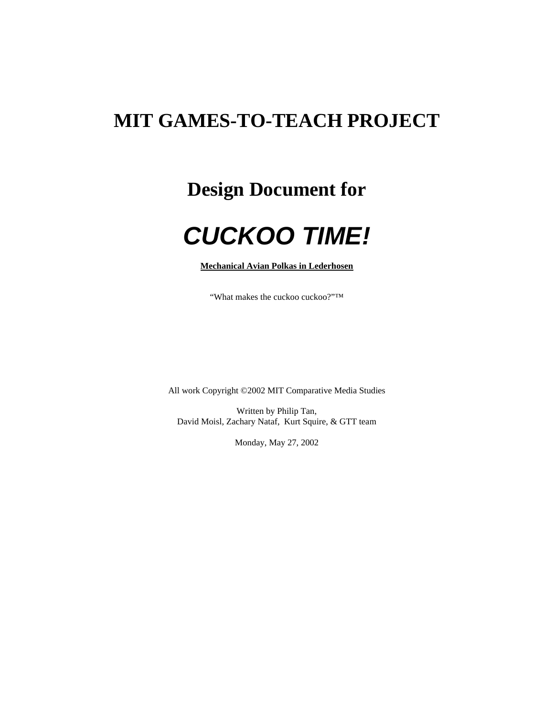## **MIT GAMES-TO-TEACH PROJECT**

## **Design Document for**

## *CUCKOO TIME!*

**Mechanical Avian Polkas in Lederhosen**

"What makes the cuckoo cuckoo?"™

All work Copyright ©2002 MIT Comparative Media Studies

Written by Philip Tan, David Moisl, Zachary Nataf, Kurt Squire, & GTT team

Monday, May 27, 2002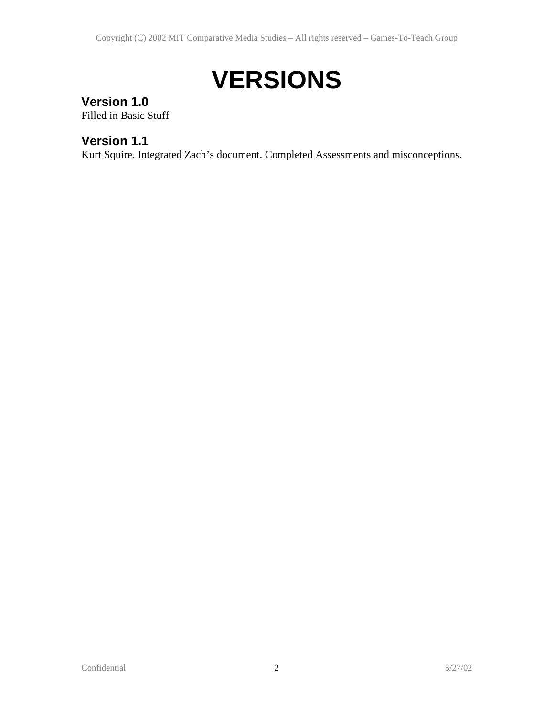# **VERSIONS**

## **Version 1.0**

Filled in Basic Stuff

## **Version 1.1**

Kurt Squire. Integrated Zach's document. Completed Assessments and misconceptions.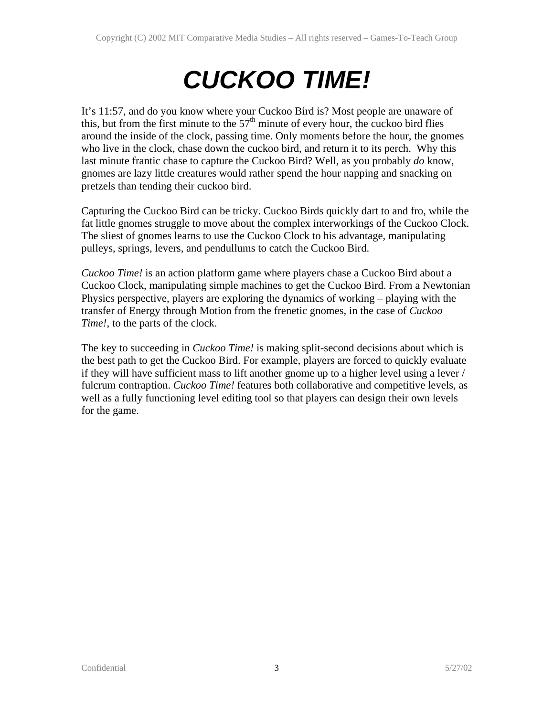# *CUCKOO TIME!*

It's 11:57, and do you know where your Cuckoo Bird is? Most people are unaware of this, but from the first minute to the  $57<sup>th</sup>$  minute of every hour, the cuckoo bird flies around the inside of the clock, passing time. Only moments before the hour, the gnomes who live in the clock, chase down the cuckoo bird, and return it to its perch. Why this last minute frantic chase to capture the Cuckoo Bird? Well, as you probably *do* know, gnomes are lazy little creatures would rather spend the hour napping and snacking on pretzels than tending their cuckoo bird.

Capturing the Cuckoo Bird can be tricky. Cuckoo Birds quickly dart to and fro, while the fat little gnomes struggle to move about the complex interworkings of the Cuckoo Clock. The sliest of gnomes learns to use the Cuckoo Clock to his advantage, manipulating pulleys, springs, levers, and pendullums to catch the Cuckoo Bird.

*Cuckoo Time!* is an action platform game where players chase a Cuckoo Bird about a Cuckoo Clock, manipulating simple machines to get the Cuckoo Bird. From a Newtonian Physics perspective, players are exploring the dynamics of working – playing with the transfer of Energy through Motion from the frenetic gnomes, in the case of *Cuckoo Time!*, to the parts of the clock.

The key to succeeding in *Cuckoo Time!* is making split-second decisions about which is the best path to get the Cuckoo Bird. For example, players are forced to quickly evaluate if they will have sufficient mass to lift another gnome up to a higher level using a lever / fulcrum contraption. *Cuckoo Time!* features both collaborative and competitive levels, as well as a fully functioning level editing tool so that players can design their own levels for the game.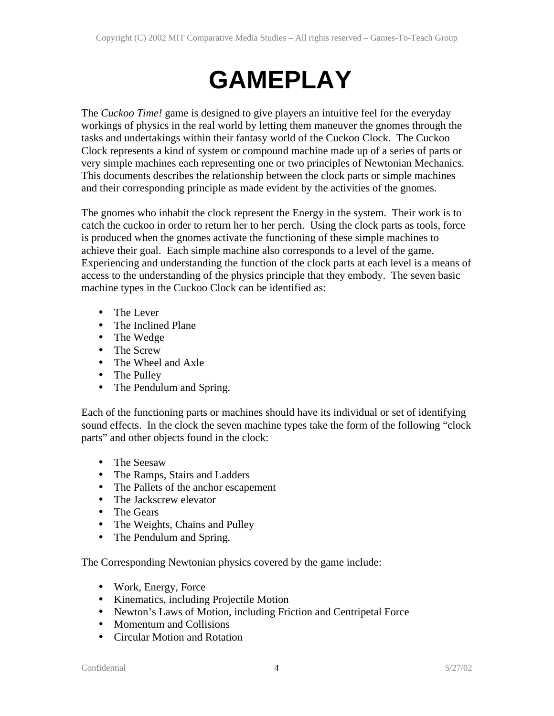# **GAMEPLAY**

The *Cuckoo Time!* game is designed to give players an intuitive feel for the everyday workings of physics in the real world by letting them maneuver the gnomes through the tasks and undertakings within their fantasy world of the Cuckoo Clock. The Cuckoo Clock represents a kind of system or compound machine made up of a series of parts or very simple machines each representing one or two principles of Newtonian Mechanics. This documents describes the relationship between the clock parts or simple machines and their corresponding principle as made evident by the activities of the gnomes.

The gnomes who inhabit the clock represent the Energy in the system. Their work is to catch the cuckoo in order to return her to her perch. Using the clock parts as tools, force is produced when the gnomes activate the functioning of these simple machines to achieve their goal. Each simple machine also corresponds to a level of the game. Experiencing and understanding the function of the clock parts at each level is a means of access to the understanding of the physics principle that they embody. The seven basic machine types in the Cuckoo Clock can be identified as:

- The Lever
- The Inclined Plane
- The Wedge
- The Screw
- The Wheel and Axle
- The Pulley
- The Pendulum and Spring.

Each of the functioning parts or machines should have its individual or set of identifying sound effects. In the clock the seven machine types take the form of the following "clock parts" and other objects found in the clock:

- The Seesaw
- The Ramps, Stairs and Ladders
- The Pallets of the anchor escapement
- The Jackscrew elevator
- The Gears
- The Weights, Chains and Pulley
- The Pendulum and Spring.

The Corresponding Newtonian physics covered by the game include:

- Work, Energy, Force
- Kinematics, including Projectile Motion
- Newton's Laws of Motion, including Friction and Centripetal Force
- Momentum and Collisions
- Circular Motion and Rotation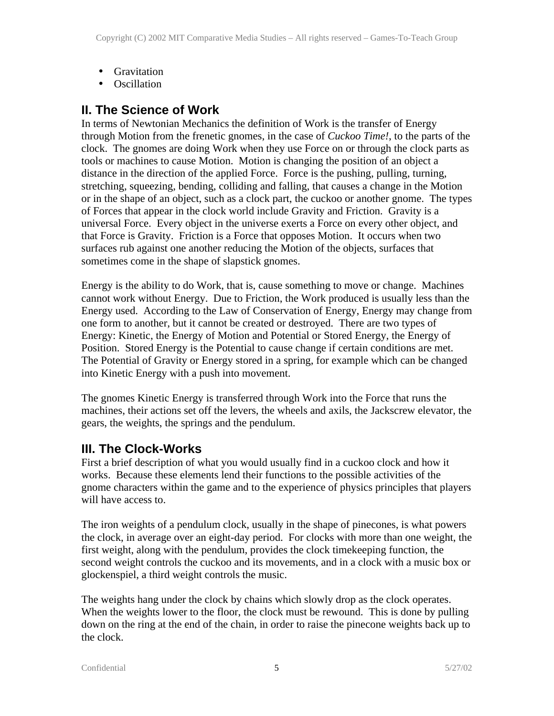- Gravitation
- Oscillation

## **II. The Science of Work**

In terms of Newtonian Mechanics the definition of Work is the transfer of Energy through Motion from the frenetic gnomes, in the case of *Cuckoo Time!*, to the parts of the clock. The gnomes are doing Work when they use Force on or through the clock parts as tools or machines to cause Motion. Motion is changing the position of an object a distance in the direction of the applied Force. Force is the pushing, pulling, turning, stretching, squeezing, bending, colliding and falling, that causes a change in the Motion or in the shape of an object, such as a clock part, the cuckoo or another gnome. The types of Forces that appear in the clock world include Gravity and Friction. Gravity is a universal Force. Every object in the universe exerts a Force on every other object, and that Force is Gravity. Friction is a Force that opposes Motion. It occurs when two surfaces rub against one another reducing the Motion of the objects, surfaces that sometimes come in the shape of slapstick gnomes.

Energy is the ability to do Work, that is, cause something to move or change. Machines cannot work without Energy. Due to Friction, the Work produced is usually less than the Energy used. According to the Law of Conservation of Energy, Energy may change from one form to another, but it cannot be created or destroyed. There are two types of Energy: Kinetic, the Energy of Motion and Potential or Stored Energy, the Energy of Position. Stored Energy is the Potential to cause change if certain conditions are met. The Potential of Gravity or Energy stored in a spring, for example which can be changed into Kinetic Energy with a push into movement.

The gnomes Kinetic Energy is transferred through Work into the Force that runs the machines, their actions set off the levers, the wheels and axils, the Jackscrew elevator, the gears, the weights, the springs and the pendulum.

#### **III. The Clock-Works**

First a brief description of what you would usually find in a cuckoo clock and how it works. Because these elements lend their functions to the possible activities of the gnome characters within the game and to the experience of physics principles that players will have access to.

The iron weights of a pendulum clock, usually in the shape of pinecones, is what powers the clock, in average over an eight-day period. For clocks with more than one weight, the first weight, along with the pendulum, provides the clock timekeeping function, the second weight controls the cuckoo and its movements, and in a clock with a music box or glockenspiel, a third weight controls the music.

The weights hang under the clock by chains which slowly drop as the clock operates. When the weights lower to the floor, the clock must be rewound. This is done by pulling down on the ring at the end of the chain, in order to raise the pinecone weights back up to the clock.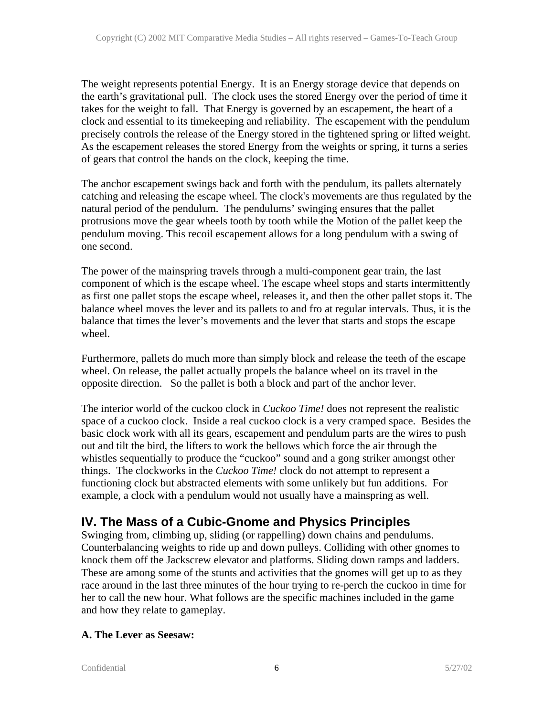The weight represents potential Energy. It is an Energy storage device that depends on the earth's gravitational pull. The clock uses the stored Energy over the period of time it takes for the weight to fall. That Energy is governed by an escapement, the heart of a clock and essential to its timekeeping and reliability. The escapement with the pendulum precisely controls the release of the Energy stored in the tightened spring or lifted weight. As the escapement releases the stored Energy from the weights or spring, it turns a series of gears that control the hands on the clock, keeping the time.

The anchor escapement swings back and forth with the pendulum, its pallets alternately catching and releasing the escape wheel. The clock's movements are thus regulated by the natural period of the pendulum. The pendulums' swinging ensures that the pallet protrusions move the gear wheels tooth by tooth while the Motion of the pallet keep the pendulum moving. This recoil escapement allows for a long pendulum with a swing of one second.

The power of the mainspring travels through a multi-component gear train, the last component of which is the escape wheel. The escape wheel stops and starts intermittently as first one pallet stops the escape wheel, releases it, and then the other pallet stops it. The balance wheel moves the lever and its pallets to and fro at regular intervals. Thus, it is the balance that times the lever's movements and the lever that starts and stops the escape wheel.

Furthermore, pallets do much more than simply block and release the teeth of the escape wheel. On release, the pallet actually propels the balance wheel on its travel in the opposite direction. So the pallet is both a block and part of the anchor lever.

The interior world of the cuckoo clock in *Cuckoo Time!* does not represent the realistic space of a cuckoo clock. Inside a real cuckoo clock is a very cramped space. Besides the basic clock work with all its gears, escapement and pendulum parts are the wires to push out and tilt the bird, the lifters to work the bellows which force the air through the whistles sequentially to produce the "cuckoo" sound and a gong striker amongst other things. The clockworks in the *Cuckoo Time!* clock do not attempt to represent a functioning clock but abstracted elements with some unlikely but fun additions. For example, a clock with a pendulum would not usually have a mainspring as well.

## **IV. The Mass of a Cubic-Gnome and Physics Principles**

Swinging from, climbing up, sliding (or rappelling) down chains and pendulums. Counterbalancing weights to ride up and down pulleys. Colliding with other gnomes to knock them off the Jackscrew elevator and platforms. Sliding down ramps and ladders. These are among some of the stunts and activities that the gnomes will get up to as they race around in the last three minutes of the hour trying to re-perch the cuckoo in time for her to call the new hour. What follows are the specific machines included in the game and how they relate to gameplay.

#### **A. The Lever as Seesaw:**

Confidential 6 5/27/02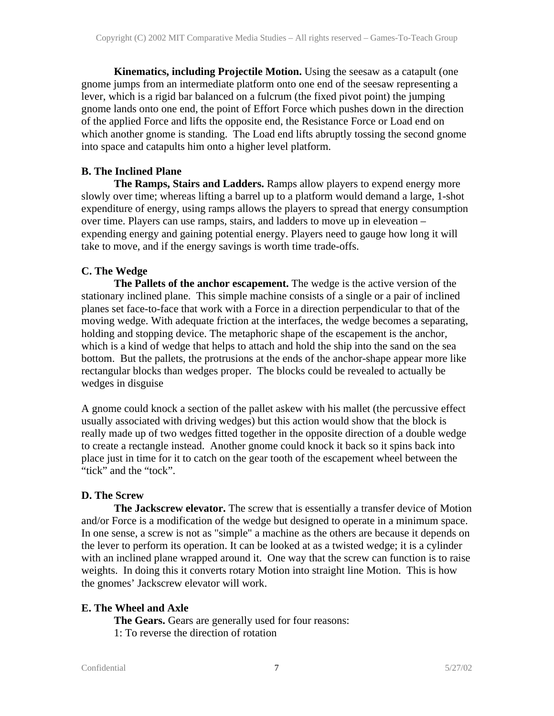**Kinematics, including Projectile Motion.** Using the seesaw as a catapult (one gnome jumps from an intermediate platform onto one end of the seesaw representing a lever, which is a rigid bar balanced on a fulcrum (the fixed pivot point) the jumping gnome lands onto one end, the point of Effort Force which pushes down in the direction of the applied Force and lifts the opposite end, the Resistance Force or Load end on which another gnome is standing. The Load end lifts abruptly tossing the second gnome into space and catapults him onto a higher level platform.

#### **B. The Inclined Plane**

**The Ramps, Stairs and Ladders.** Ramps allow players to expend energy more slowly over time; whereas lifting a barrel up to a platform would demand a large, 1-shot expenditure of energy, using ramps allows the players to spread that energy consumption over time. Players can use ramps, stairs, and ladders to move up in eleveation – expending energy and gaining potential energy. Players need to gauge how long it will take to move, and if the energy savings is worth time trade-offs.

#### **C. The Wedge**

**The Pallets of the anchor escapement.** The wedge is the active version of the stationary inclined plane. This simple machine consists of a single or a pair of inclined planes set face-to-face that work with a Force in a direction perpendicular to that of the moving wedge. With adequate friction at the interfaces, the wedge becomes a separating, holding and stopping device. The metaphoric shape of the escapement is the anchor, which is a kind of wedge that helps to attach and hold the ship into the sand on the sea bottom. But the pallets, the protrusions at the ends of the anchor-shape appear more like rectangular blocks than wedges proper. The blocks could be revealed to actually be wedges in disguise

A gnome could knock a section of the pallet askew with his mallet (the percussive effect usually associated with driving wedges) but this action would show that the block is really made up of two wedges fitted together in the opposite direction of a double wedge to create a rectangle instead. Another gnome could knock it back so it spins back into place just in time for it to catch on the gear tooth of the escapement wheel between the "tick" and the "tock".

#### **D. The Screw**

**The Jackscrew elevator.** The screw that is essentially a transfer device of Motion and/or Force is a modification of the wedge but designed to operate in a minimum space. In one sense, a screw is not as "simple" a machine as the others are because it depends on the lever to perform its operation. It can be looked at as a twisted wedge; it is a cylinder with an inclined plane wrapped around it. One way that the screw can function is to raise weights. In doing this it converts rotary Motion into straight line Motion. This is how the gnomes' Jackscrew elevator will work.

#### **E. The Wheel and Axle**

**The Gears.** Gears are generally used for four reasons:

1: To reverse the direction of rotation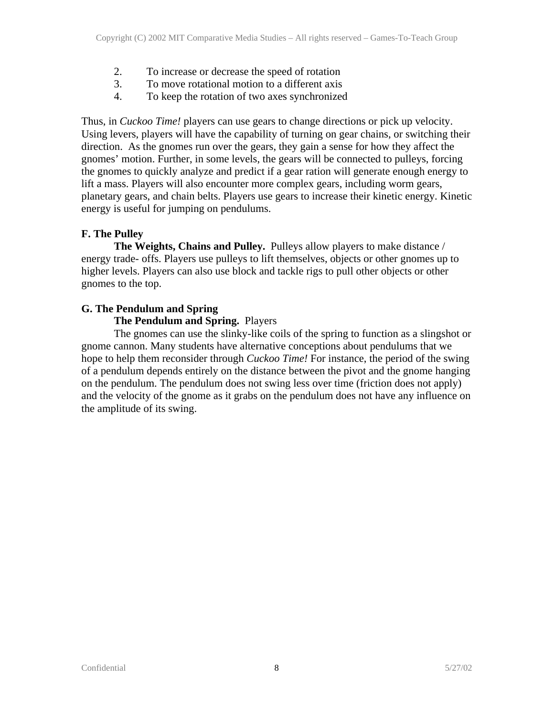- 2. To increase or decrease the speed of rotation
- 3. To move rotational motion to a different axis
- 4. To keep the rotation of two axes synchronized

Thus, in *Cuckoo Time!* players can use gears to change directions or pick up velocity. Using levers, players will have the capability of turning on gear chains, or switching their direction. As the gnomes run over the gears, they gain a sense for how they affect the gnomes' motion. Further, in some levels, the gears will be connected to pulleys, forcing the gnomes to quickly analyze and predict if a gear ration will generate enough energy to lift a mass. Players will also encounter more complex gears, including worm gears, planetary gears, and chain belts. Players use gears to increase their kinetic energy. Kinetic energy is useful for jumping on pendulums.

#### **F. The Pulley**

**The Weights, Chains and Pulley.** Pulleys allow players to make distance / energy trade- offs. Players use pulleys to lift themselves, objects or other gnomes up to higher levels. Players can also use block and tackle rigs to pull other objects or other gnomes to the top.

#### **G. The Pendulum and Spring**

#### **The Pendulum and Spring.** Players

The gnomes can use the slinky-like coils of the spring to function as a slingshot or gnome cannon. Many students have alternative conceptions about pendulums that we hope to help them reconsider through *Cuckoo Time!* For instance, the period of the swing of a pendulum depends entirely on the distance between the pivot and the gnome hanging on the pendulum. The pendulum does not swing less over time (friction does not apply) and the velocity of the gnome as it grabs on the pendulum does not have any influence on the amplitude of its swing.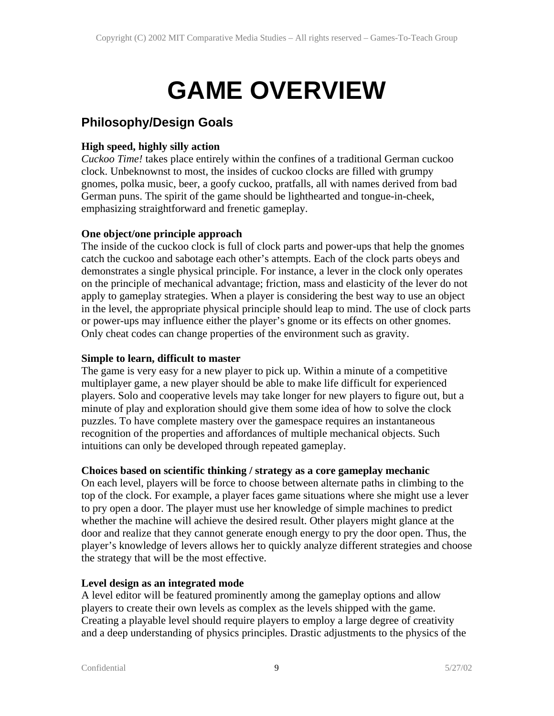# **GAME OVERVIEW**

## **Philosophy/Design Goals**

#### **High speed, highly silly action**

*Cuckoo Time!* takes place entirely within the confines of a traditional German cuckoo clock. Unbeknownst to most, the insides of cuckoo clocks are filled with grumpy gnomes, polka music, beer, a goofy cuckoo, pratfalls, all with names derived from bad German puns. The spirit of the game should be lighthearted and tongue-in-cheek, emphasizing straightforward and frenetic gameplay.

#### **One object/one principle approach**

The inside of the cuckoo clock is full of clock parts and power-ups that help the gnomes catch the cuckoo and sabotage each other's attempts. Each of the clock parts obeys and demonstrates a single physical principle. For instance, a lever in the clock only operates on the principle of mechanical advantage; friction, mass and elasticity of the lever do not apply to gameplay strategies. When a player is considering the best way to use an object in the level, the appropriate physical principle should leap to mind. The use of clock parts or power-ups may influence either the player's gnome or its effects on other gnomes. Only cheat codes can change properties of the environment such as gravity.

#### **Simple to learn, difficult to master**

The game is very easy for a new player to pick up. Within a minute of a competitive multiplayer game, a new player should be able to make life difficult for experienced players. Solo and cooperative levels may take longer for new players to figure out, but a minute of play and exploration should give them some idea of how to solve the clock puzzles. To have complete mastery over the gamespace requires an instantaneous recognition of the properties and affordances of multiple mechanical objects. Such intuitions can only be developed through repeated gameplay.

#### **Choices based on scientific thinking / strategy as a core gameplay mechanic**

On each level, players will be force to choose between alternate paths in climbing to the top of the clock. For example, a player faces game situations where she might use a lever to pry open a door. The player must use her knowledge of simple machines to predict whether the machine will achieve the desired result. Other players might glance at the door and realize that they cannot generate enough energy to pry the door open. Thus, the player's knowledge of levers allows her to quickly analyze different strategies and choose the strategy that will be the most effective.

#### **Level design as an integrated mode**

A level editor will be featured prominently among the gameplay options and allow players to create their own levels as complex as the levels shipped with the game. Creating a playable level should require players to employ a large degree of creativity and a deep understanding of physics principles. Drastic adjustments to the physics of the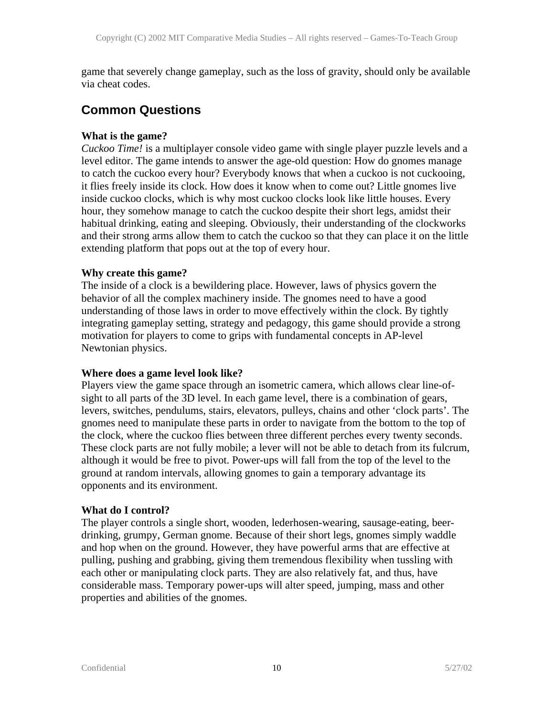game that severely change gameplay, such as the loss of gravity, should only be available via cheat codes.

## **Common Questions**

#### **What is the game?**

*Cuckoo Time!* is a multiplayer console video game with single player puzzle levels and a level editor. The game intends to answer the age-old question: How do gnomes manage to catch the cuckoo every hour? Everybody knows that when a cuckoo is not cuckooing, it flies freely inside its clock. How does it know when to come out? Little gnomes live inside cuckoo clocks, which is why most cuckoo clocks look like little houses. Every hour, they somehow manage to catch the cuckoo despite their short legs, amidst their habitual drinking, eating and sleeping. Obviously, their understanding of the clockworks and their strong arms allow them to catch the cuckoo so that they can place it on the little extending platform that pops out at the top of every hour.

#### **Why create this game?**

The inside of a clock is a bewildering place. However, laws of physics govern the behavior of all the complex machinery inside. The gnomes need to have a good understanding of those laws in order to move effectively within the clock. By tightly integrating gameplay setting, strategy and pedagogy, this game should provide a strong motivation for players to come to grips with fundamental concepts in AP-level Newtonian physics.

#### **Where does a game level look like?**

Players view the game space through an isometric camera, which allows clear line-ofsight to all parts of the 3D level. In each game level, there is a combination of gears, levers, switches, pendulums, stairs, elevators, pulleys, chains and other 'clock parts'. The gnomes need to manipulate these parts in order to navigate from the bottom to the top of the clock, where the cuckoo flies between three different perches every twenty seconds. These clock parts are not fully mobile; a lever will not be able to detach from its fulcrum, although it would be free to pivot. Power-ups will fall from the top of the level to the ground at random intervals, allowing gnomes to gain a temporary advantage its opponents and its environment.

#### **What do I control?**

The player controls a single short, wooden, lederhosen-wearing, sausage-eating, beerdrinking, grumpy, German gnome. Because of their short legs, gnomes simply waddle and hop when on the ground. However, they have powerful arms that are effective at pulling, pushing and grabbing, giving them tremendous flexibility when tussling with each other or manipulating clock parts. They are also relatively fat, and thus, have considerable mass. Temporary power-ups will alter speed, jumping, mass and other properties and abilities of the gnomes.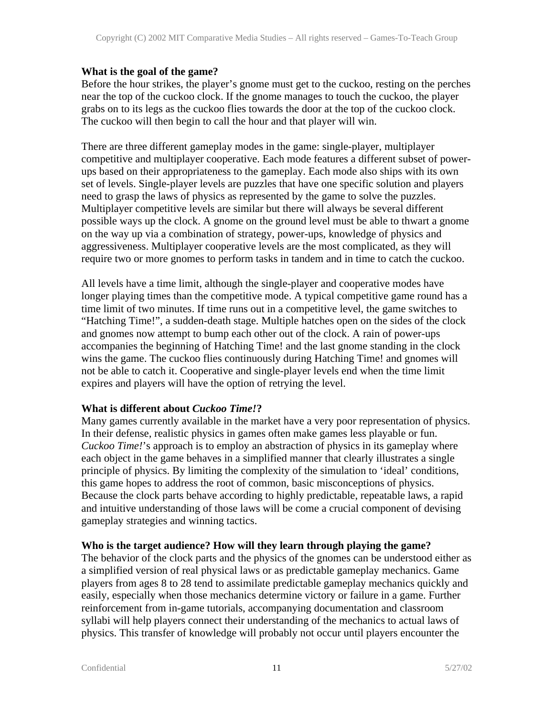#### **What is the goal of the game?**

Before the hour strikes, the player's gnome must get to the cuckoo, resting on the perches near the top of the cuckoo clock. If the gnome manages to touch the cuckoo, the player grabs on to its legs as the cuckoo flies towards the door at the top of the cuckoo clock. The cuckoo will then begin to call the hour and that player will win.

There are three different gameplay modes in the game: single-player, multiplayer competitive and multiplayer cooperative. Each mode features a different subset of powerups based on their appropriateness to the gameplay. Each mode also ships with its own set of levels. Single-player levels are puzzles that have one specific solution and players need to grasp the laws of physics as represented by the game to solve the puzzles. Multiplayer competitive levels are similar but there will always be several different possible ways up the clock. A gnome on the ground level must be able to thwart a gnome on the way up via a combination of strategy, power-ups, knowledge of physics and aggressiveness. Multiplayer cooperative levels are the most complicated, as they will require two or more gnomes to perform tasks in tandem and in time to catch the cuckoo.

All levels have a time limit, although the single-player and cooperative modes have longer playing times than the competitive mode. A typical competitive game round has a time limit of two minutes. If time runs out in a competitive level, the game switches to "Hatching Time!", a sudden-death stage. Multiple hatches open on the sides of the clock and gnomes now attempt to bump each other out of the clock. A rain of power-ups accompanies the beginning of Hatching Time! and the last gnome standing in the clock wins the game. The cuckoo flies continuously during Hatching Time! and gnomes will not be able to catch it. Cooperative and single-player levels end when the time limit expires and players will have the option of retrying the level.

#### **What is different about** *Cuckoo Time!***?**

Many games currently available in the market have a very poor representation of physics. In their defense, realistic physics in games often make games less playable or fun. *Cuckoo Time!*'s approach is to employ an abstraction of physics in its gameplay where each object in the game behaves in a simplified manner that clearly illustrates a single principle of physics. By limiting the complexity of the simulation to 'ideal' conditions, this game hopes to address the root of common, basic misconceptions of physics. Because the clock parts behave according to highly predictable, repeatable laws, a rapid and intuitive understanding of those laws will be come a crucial component of devising gameplay strategies and winning tactics.

#### **Who is the target audience? How will they learn through playing the game?**

The behavior of the clock parts and the physics of the gnomes can be understood either as a simplified version of real physical laws or as predictable gameplay mechanics. Game players from ages 8 to 28 tend to assimilate predictable gameplay mechanics quickly and easily, especially when those mechanics determine victory or failure in a game. Further reinforcement from in-game tutorials, accompanying documentation and classroom syllabi will help players connect their understanding of the mechanics to actual laws of physics. This transfer of knowledge will probably not occur until players encounter the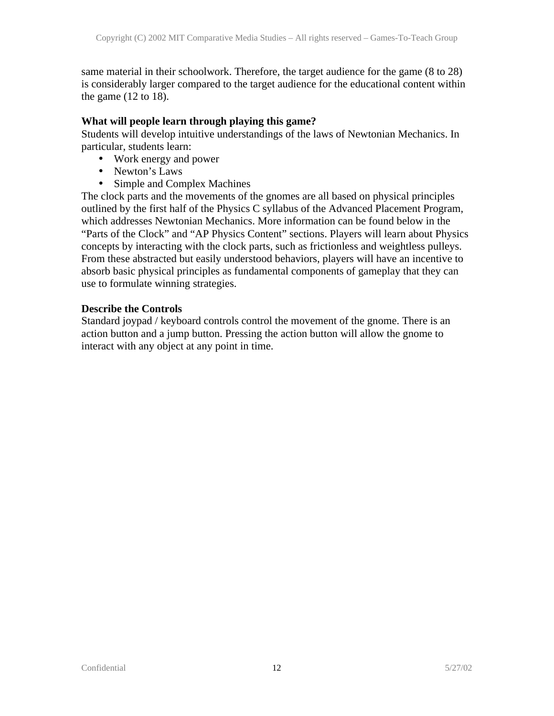same material in their schoolwork. Therefore, the target audience for the game (8 to 28) is considerably larger compared to the target audience for the educational content within the game  $(12 \text{ to } 18)$ .

#### **What will people learn through playing this game?**

Students will develop intuitive understandings of the laws of Newtonian Mechanics. In particular, students learn:

- Work energy and power
- Newton's Laws
- Simple and Complex Machines

The clock parts and the movements of the gnomes are all based on physical principles outlined by the first half of the Physics C syllabus of the Advanced Placement Program, which addresses Newtonian Mechanics. More information can be found below in the "Parts of the Clock" and "AP Physics Content" sections. Players will learn about Physics concepts by interacting with the clock parts, such as frictionless and weightless pulleys. From these abstracted but easily understood behaviors, players will have an incentive to absorb basic physical principles as fundamental components of gameplay that they can use to formulate winning strategies.

#### **Describe the Controls**

Standard joypad / keyboard controls control the movement of the gnome. There is an action button and a jump button. Pressing the action button will allow the gnome to interact with any object at any point in time.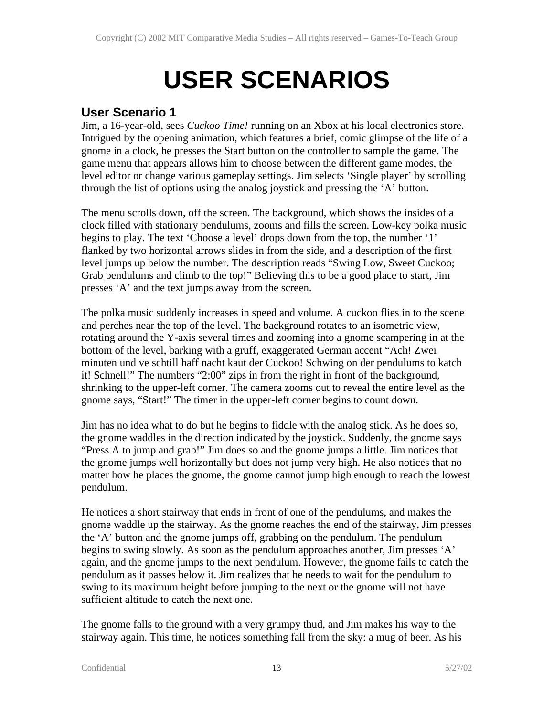# **USER SCENARIOS**

## **User Scenario 1**

Jim, a 16-year-old, sees *Cuckoo Time!* running on an Xbox at his local electronics store. Intrigued by the opening animation, which features a brief, comic glimpse of the life of a gnome in a clock, he presses the Start button on the controller to sample the game. The game menu that appears allows him to choose between the different game modes, the level editor or change various gameplay settings. Jim selects 'Single player' by scrolling through the list of options using the analog joystick and pressing the 'A' button.

The menu scrolls down, off the screen. The background, which shows the insides of a clock filled with stationary pendulums, zooms and fills the screen. Low-key polka music begins to play. The text 'Choose a level' drops down from the top, the number '1' flanked by two horizontal arrows slides in from the side, and a description of the first level jumps up below the number. The description reads "Swing Low, Sweet Cuckoo; Grab pendulums and climb to the top!" Believing this to be a good place to start, Jim presses 'A' and the text jumps away from the screen.

The polka music suddenly increases in speed and volume. A cuckoo flies in to the scene and perches near the top of the level. The background rotates to an isometric view, rotating around the Y-axis several times and zooming into a gnome scampering in at the bottom of the level, barking with a gruff, exaggerated German accent "Ach! Zwei minuten und ve schtill haff nacht kaut der Cuckoo! Schwing on der pendulums to katch it! Schnell!" The numbers "2:00" zips in from the right in front of the background, shrinking to the upper-left corner. The camera zooms out to reveal the entire level as the gnome says, "Start!" The timer in the upper-left corner begins to count down.

Jim has no idea what to do but he begins to fiddle with the analog stick. As he does so, the gnome waddles in the direction indicated by the joystick. Suddenly, the gnome says "Press A to jump and grab!" Jim does so and the gnome jumps a little. Jim notices that the gnome jumps well horizontally but does not jump very high. He also notices that no matter how he places the gnome, the gnome cannot jump high enough to reach the lowest pendulum.

He notices a short stairway that ends in front of one of the pendulums, and makes the gnome waddle up the stairway. As the gnome reaches the end of the stairway, Jim presses the 'A' button and the gnome jumps off, grabbing on the pendulum. The pendulum begins to swing slowly. As soon as the pendulum approaches another, Jim presses 'A' again, and the gnome jumps to the next pendulum. However, the gnome fails to catch the pendulum as it passes below it. Jim realizes that he needs to wait for the pendulum to swing to its maximum height before jumping to the next or the gnome will not have sufficient altitude to catch the next one.

The gnome falls to the ground with a very grumpy thud, and Jim makes his way to the stairway again. This time, he notices something fall from the sky: a mug of beer. As his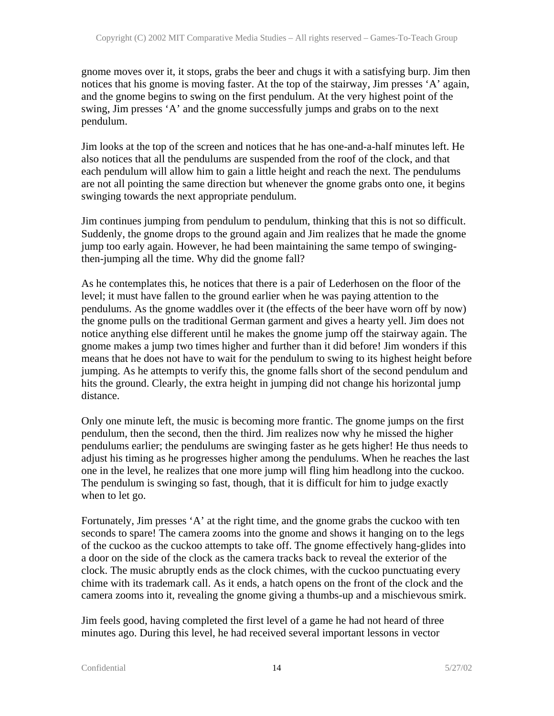gnome moves over it, it stops, grabs the beer and chugs it with a satisfying burp. Jim then notices that his gnome is moving faster. At the top of the stairway, Jim presses 'A' again, and the gnome begins to swing on the first pendulum. At the very highest point of the swing, Jim presses 'A' and the gnome successfully jumps and grabs on to the next pendulum.

Jim looks at the top of the screen and notices that he has one-and-a-half minutes left. He also notices that all the pendulums are suspended from the roof of the clock, and that each pendulum will allow him to gain a little height and reach the next. The pendulums are not all pointing the same direction but whenever the gnome grabs onto one, it begins swinging towards the next appropriate pendulum.

Jim continues jumping from pendulum to pendulum, thinking that this is not so difficult. Suddenly, the gnome drops to the ground again and Jim realizes that he made the gnome jump too early again. However, he had been maintaining the same tempo of swingingthen-jumping all the time. Why did the gnome fall?

As he contemplates this, he notices that there is a pair of Lederhosen on the floor of the level; it must have fallen to the ground earlier when he was paying attention to the pendulums. As the gnome waddles over it (the effects of the beer have worn off by now) the gnome pulls on the traditional German garment and gives a hearty yell. Jim does not notice anything else different until he makes the gnome jump off the stairway again. The gnome makes a jump two times higher and further than it did before! Jim wonders if this means that he does not have to wait for the pendulum to swing to its highest height before jumping. As he attempts to verify this, the gnome falls short of the second pendulum and hits the ground. Clearly, the extra height in jumping did not change his horizontal jump distance.

Only one minute left, the music is becoming more frantic. The gnome jumps on the first pendulum, then the second, then the third. Jim realizes now why he missed the higher pendulums earlier; the pendulums are swinging faster as he gets higher! He thus needs to adjust his timing as he progresses higher among the pendulums. When he reaches the last one in the level, he realizes that one more jump will fling him headlong into the cuckoo. The pendulum is swinging so fast, though, that it is difficult for him to judge exactly when to let go.

Fortunately, Jim presses 'A' at the right time, and the gnome grabs the cuckoo with ten seconds to spare! The camera zooms into the gnome and shows it hanging on to the legs of the cuckoo as the cuckoo attempts to take off. The gnome effectively hang-glides into a door on the side of the clock as the camera tracks back to reveal the exterior of the clock. The music abruptly ends as the clock chimes, with the cuckoo punctuating every chime with its trademark call. As it ends, a hatch opens on the front of the clock and the camera zooms into it, revealing the gnome giving a thumbs-up and a mischievous smirk.

Jim feels good, having completed the first level of a game he had not heard of three minutes ago. During this level, he had received several important lessons in vector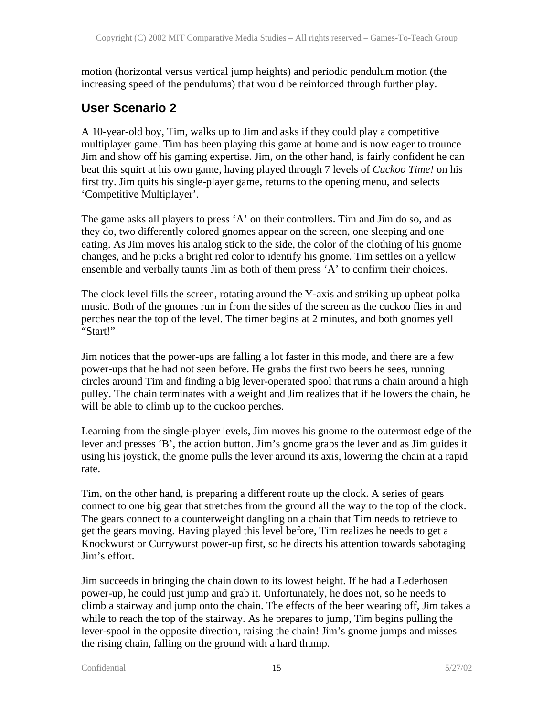motion (horizontal versus vertical jump heights) and periodic pendulum motion (the increasing speed of the pendulums) that would be reinforced through further play.

## **User Scenario 2**

A 10-year-old boy, Tim, walks up to Jim and asks if they could play a competitive multiplayer game. Tim has been playing this game at home and is now eager to trounce Jim and show off his gaming expertise. Jim, on the other hand, is fairly confident he can beat this squirt at his own game, having played through 7 levels of *Cuckoo Time!* on his first try. Jim quits his single-player game, returns to the opening menu, and selects 'Competitive Multiplayer'.

The game asks all players to press 'A' on their controllers. Tim and Jim do so, and as they do, two differently colored gnomes appear on the screen, one sleeping and one eating. As Jim moves his analog stick to the side, the color of the clothing of his gnome changes, and he picks a bright red color to identify his gnome. Tim settles on a yellow ensemble and verbally taunts Jim as both of them press 'A' to confirm their choices.

The clock level fills the screen, rotating around the Y-axis and striking up upbeat polka music. Both of the gnomes run in from the sides of the screen as the cuckoo flies in and perches near the top of the level. The timer begins at 2 minutes, and both gnomes yell "Start!"

Jim notices that the power-ups are falling a lot faster in this mode, and there are a few power-ups that he had not seen before. He grabs the first two beers he sees, running circles around Tim and finding a big lever-operated spool that runs a chain around a high pulley. The chain terminates with a weight and Jim realizes that if he lowers the chain, he will be able to climb up to the cuckoo perches.

Learning from the single-player levels, Jim moves his gnome to the outermost edge of the lever and presses 'B', the action button. Jim's gnome grabs the lever and as Jim guides it using his joystick, the gnome pulls the lever around its axis, lowering the chain at a rapid rate.

Tim, on the other hand, is preparing a different route up the clock. A series of gears connect to one big gear that stretches from the ground all the way to the top of the clock. The gears connect to a counterweight dangling on a chain that Tim needs to retrieve to get the gears moving. Having played this level before, Tim realizes he needs to get a Knockwurst or Currywurst power-up first, so he directs his attention towards sabotaging Jim's effort.

Jim succeeds in bringing the chain down to its lowest height. If he had a Lederhosen power-up, he could just jump and grab it. Unfortunately, he does not, so he needs to climb a stairway and jump onto the chain. The effects of the beer wearing off, Jim takes a while to reach the top of the stairway. As he prepares to jump, Tim begins pulling the lever-spool in the opposite direction, raising the chain! Jim's gnome jumps and misses the rising chain, falling on the ground with a hard thump.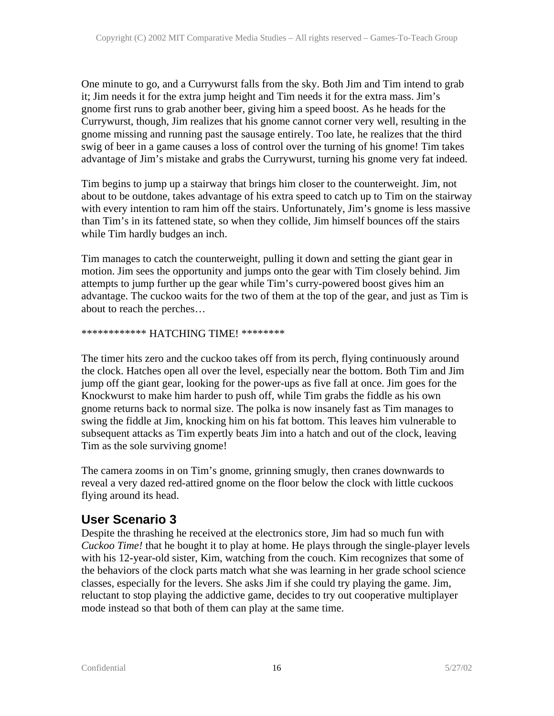One minute to go, and a Currywurst falls from the sky. Both Jim and Tim intend to grab it; Jim needs it for the extra jump height and Tim needs it for the extra mass. Jim's gnome first runs to grab another beer, giving him a speed boost. As he heads for the Currywurst, though, Jim realizes that his gnome cannot corner very well, resulting in the gnome missing and running past the sausage entirely. Too late, he realizes that the third swig of beer in a game causes a loss of control over the turning of his gnome! Tim takes advantage of Jim's mistake and grabs the Currywurst, turning his gnome very fat indeed.

Tim begins to jump up a stairway that brings him closer to the counterweight. Jim, not about to be outdone, takes advantage of his extra speed to catch up to Tim on the stairway with every intention to ram him off the stairs. Unfortunately, Jim's gnome is less massive than Tim's in its fattened state, so when they collide, Jim himself bounces off the stairs while Tim hardly budges an inch.

Tim manages to catch the counterweight, pulling it down and setting the giant gear in motion. Jim sees the opportunity and jumps onto the gear with Tim closely behind. Jim attempts to jump further up the gear while Tim's curry-powered boost gives him an advantage. The cuckoo waits for the two of them at the top of the gear, and just as Tim is about to reach the perches…

#### \*\*\*\*\*\*\*\*\*\*\*\* HATCHING TIME! \*\*\*\*\*\*\*\*

The timer hits zero and the cuckoo takes off from its perch, flying continuously around the clock. Hatches open all over the level, especially near the bottom. Both Tim and Jim jump off the giant gear, looking for the power-ups as five fall at once. Jim goes for the Knockwurst to make him harder to push off, while Tim grabs the fiddle as his own gnome returns back to normal size. The polka is now insanely fast as Tim manages to swing the fiddle at Jim, knocking him on his fat bottom. This leaves him vulnerable to subsequent attacks as Tim expertly beats Jim into a hatch and out of the clock, leaving Tim as the sole surviving gnome!

The camera zooms in on Tim's gnome, grinning smugly, then cranes downwards to reveal a very dazed red-attired gnome on the floor below the clock with little cuckoos flying around its head.

## **User Scenario 3**

Despite the thrashing he received at the electronics store, Jim had so much fun with *Cuckoo Time!* that he bought it to play at home. He plays through the single-player levels with his 12-year-old sister, Kim, watching from the couch. Kim recognizes that some of the behaviors of the clock parts match what she was learning in her grade school science classes, especially for the levers. She asks Jim if she could try playing the game. Jim, reluctant to stop playing the addictive game, decides to try out cooperative multiplayer mode instead so that both of them can play at the same time.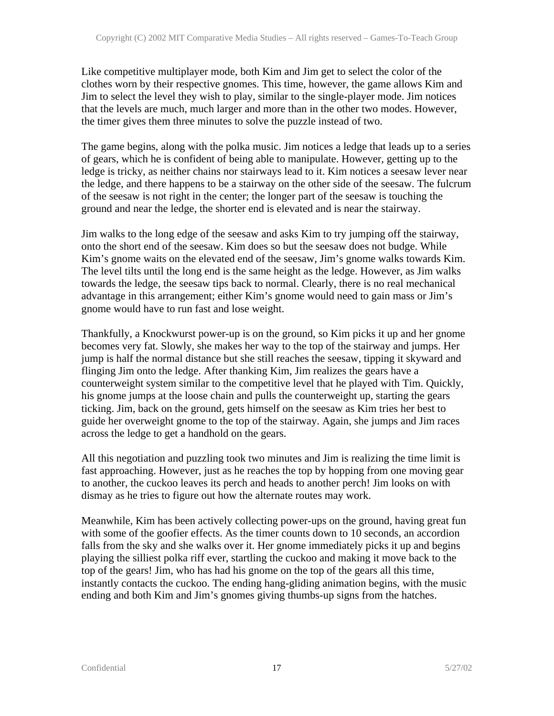Like competitive multiplayer mode, both Kim and Jim get to select the color of the clothes worn by their respective gnomes. This time, however, the game allows Kim and Jim to select the level they wish to play, similar to the single-player mode. Jim notices that the levels are much, much larger and more than in the other two modes. However, the timer gives them three minutes to solve the puzzle instead of two.

The game begins, along with the polka music. Jim notices a ledge that leads up to a series of gears, which he is confident of being able to manipulate. However, getting up to the ledge is tricky, as neither chains nor stairways lead to it. Kim notices a seesaw lever near the ledge, and there happens to be a stairway on the other side of the seesaw. The fulcrum of the seesaw is not right in the center; the longer part of the seesaw is touching the ground and near the ledge, the shorter end is elevated and is near the stairway.

Jim walks to the long edge of the seesaw and asks Kim to try jumping off the stairway, onto the short end of the seesaw. Kim does so but the seesaw does not budge. While Kim's gnome waits on the elevated end of the seesaw, Jim's gnome walks towards Kim. The level tilts until the long end is the same height as the ledge. However, as Jim walks towards the ledge, the seesaw tips back to normal. Clearly, there is no real mechanical advantage in this arrangement; either Kim's gnome would need to gain mass or Jim's gnome would have to run fast and lose weight.

Thankfully, a Knockwurst power-up is on the ground, so Kim picks it up and her gnome becomes very fat. Slowly, she makes her way to the top of the stairway and jumps. Her jump is half the normal distance but she still reaches the seesaw, tipping it skyward and flinging Jim onto the ledge. After thanking Kim, Jim realizes the gears have a counterweight system similar to the competitive level that he played with Tim. Quickly, his gnome jumps at the loose chain and pulls the counterweight up, starting the gears ticking. Jim, back on the ground, gets himself on the seesaw as Kim tries her best to guide her overweight gnome to the top of the stairway. Again, she jumps and Jim races across the ledge to get a handhold on the gears.

All this negotiation and puzzling took two minutes and Jim is realizing the time limit is fast approaching. However, just as he reaches the top by hopping from one moving gear to another, the cuckoo leaves its perch and heads to another perch! Jim looks on with dismay as he tries to figure out how the alternate routes may work.

Meanwhile, Kim has been actively collecting power-ups on the ground, having great fun with some of the goofier effects. As the timer counts down to 10 seconds, an accordion falls from the sky and she walks over it. Her gnome immediately picks it up and begins playing the silliest polka riff ever, startling the cuckoo and making it move back to the top of the gears! Jim, who has had his gnome on the top of the gears all this time, instantly contacts the cuckoo. The ending hang-gliding animation begins, with the music ending and both Kim and Jim's gnomes giving thumbs-up signs from the hatches.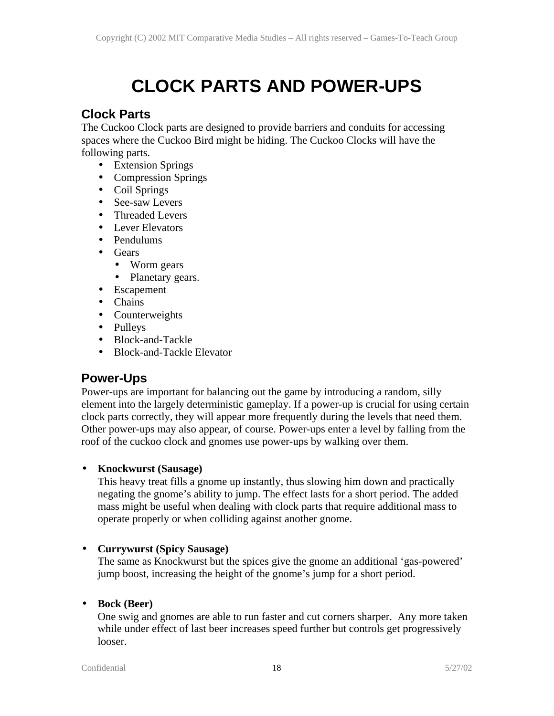## **CLOCK PARTS AND POWER-UPS**

## **Clock Parts**

The Cuckoo Clock parts are designed to provide barriers and conduits for accessing spaces where the Cuckoo Bird might be hiding. The Cuckoo Clocks will have the following parts.

- Extension Springs
- Compression Springs
- Coil Springs
- See-saw Levers
- Threaded Levers
- Lever Elevators
- Pendulums
- Gears
	- Worm gears
	- Planetary gears.
- Escapement
- Chains
- Counterweights
- Pulleys
- Block-and-Tackle
- Block-and-Tackle Elevator

## **Power-Ups**

Power-ups are important for balancing out the game by introducing a random, silly element into the largely deterministic gameplay. If a power-up is crucial for using certain clock parts correctly, they will appear more frequently during the levels that need them. Other power-ups may also appear, of course. Power-ups enter a level by falling from the roof of the cuckoo clock and gnomes use power-ups by walking over them.

#### • **Knockwurst (Sausage)**

This heavy treat fills a gnome up instantly, thus slowing him down and practically negating the gnome's ability to jump. The effect lasts for a short period. The added mass might be useful when dealing with clock parts that require additional mass to operate properly or when colliding against another gnome.

#### • **Currywurst (Spicy Sausage)**

The same as Knockwurst but the spices give the gnome an additional 'gas-powered' jump boost, increasing the height of the gnome's jump for a short period.

#### • **Bock (Beer)**

One swig and gnomes are able to run faster and cut corners sharper. Any more taken while under effect of last beer increases speed further but controls get progressively looser.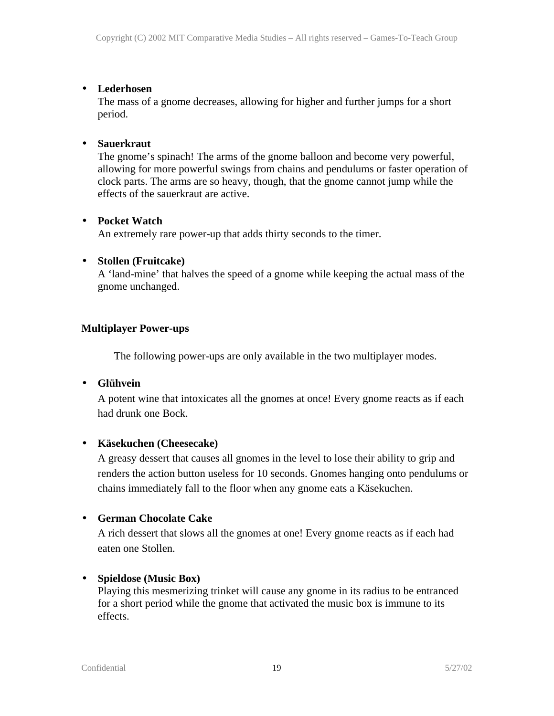#### • **Lederhosen**

The mass of a gnome decreases, allowing for higher and further jumps for a short period.

#### • **Sauerkraut**

The gnome's spinach! The arms of the gnome balloon and become very powerful, allowing for more powerful swings from chains and pendulums or faster operation of clock parts. The arms are so heavy, though, that the gnome cannot jump while the effects of the sauerkraut are active.

#### • **Pocket Watch**

An extremely rare power-up that adds thirty seconds to the timer.

#### • **Stollen (Fruitcake)**

A 'land-mine' that halves the speed of a gnome while keeping the actual mass of the gnome unchanged.

#### **Multiplayer Power-ups**

The following power-ups are only available in the two multiplayer modes.

#### • **Glühvein**

A potent wine that intoxicates all the gnomes at once! Every gnome reacts as if each had drunk one Bock.

#### • **Käsekuchen (Cheesecake)**

A greasy dessert that causes all gnomes in the level to lose their ability to grip and renders the action button useless for 10 seconds. Gnomes hanging onto pendulums or chains immediately fall to the floor when any gnome eats a Käsekuchen.

#### • **German Chocolate Cake**

A rich dessert that slows all the gnomes at one! Every gnome reacts as if each had eaten one Stollen.

#### • **Spieldose (Music Box)**

Playing this mesmerizing trinket will cause any gnome in its radius to be entranced for a short period while the gnome that activated the music box is immune to its effects.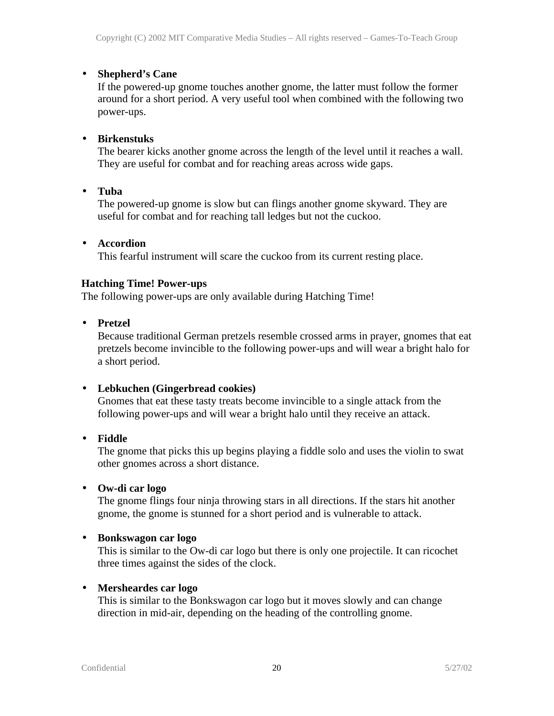#### • **Shepherd's Cane**

If the powered-up gnome touches another gnome, the latter must follow the former around for a short period. A very useful tool when combined with the following two power-ups.

#### • **Birkenstuks**

The bearer kicks another gnome across the length of the level until it reaches a wall. They are useful for combat and for reaching areas across wide gaps.

• **Tuba**

The powered-up gnome is slow but can flings another gnome skyward. They are useful for combat and for reaching tall ledges but not the cuckoo.

#### • **Accordion**

This fearful instrument will scare the cuckoo from its current resting place.

#### **Hatching Time! Power-ups**

The following power-ups are only available during Hatching Time!

• **Pretzel**

Because traditional German pretzels resemble crossed arms in prayer, gnomes that eat pretzels become invincible to the following power-ups and will wear a bright halo for a short period.

#### • **Lebkuchen (Gingerbread cookies)**

Gnomes that eat these tasty treats become invincible to a single attack from the following power-ups and will wear a bright halo until they receive an attack.

• **Fiddle**

The gnome that picks this up begins playing a fiddle solo and uses the violin to swat other gnomes across a short distance.

• **Ow-di car logo**

The gnome flings four ninja throwing stars in all directions. If the stars hit another gnome, the gnome is stunned for a short period and is vulnerable to attack.

#### • **Bonkswagon car logo**

This is similar to the Ow-di car logo but there is only one projectile. It can ricochet three times against the sides of the clock.

#### • **Mersheardes car logo**

This is similar to the Bonkswagon car logo but it moves slowly and can change direction in mid-air, depending on the heading of the controlling gnome.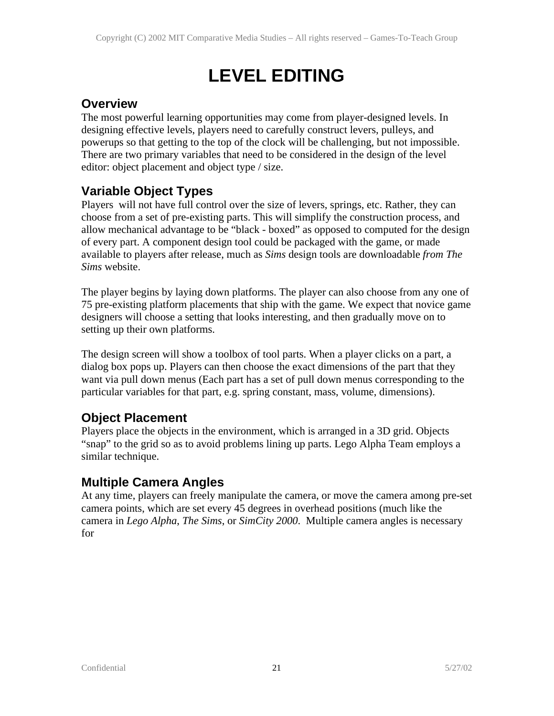## **LEVEL EDITING**

## **Overview**

The most powerful learning opportunities may come from player-designed levels. In designing effective levels, players need to carefully construct levers, pulleys, and powerups so that getting to the top of the clock will be challenging, but not impossible. There are two primary variables that need to be considered in the design of the level editor: object placement and object type / size.

## **Variable Object Types**

Players will not have full control over the size of levers, springs, etc. Rather, they can choose from a set of pre-existing parts. This will simplify the construction process, and allow mechanical advantage to be "black - boxed" as opposed to computed for the design of every part. A component design tool could be packaged with the game, or made available to players after release, much as *Sims* design tools are downloadable *from The Sims* website.

The player begins by laying down platforms. The player can also choose from any one of 75 pre-existing platform placements that ship with the game. We expect that novice game designers will choose a setting that looks interesting, and then gradually move on to setting up their own platforms.

The design screen will show a toolbox of tool parts. When a player clicks on a part, a dialog box pops up. Players can then choose the exact dimensions of the part that they want via pull down menus (Each part has a set of pull down menus corresponding to the particular variables for that part, e.g. spring constant, mass, volume, dimensions).

## **Object Placement**

Players place the objects in the environment, which is arranged in a 3D grid. Objects "snap" to the grid so as to avoid problems lining up parts. Lego Alpha Team employs a similar technique.

## **Multiple Camera Angles**

At any time, players can freely manipulate the camera, or move the camera among pre-set camera points, which are set every 45 degrees in overhead positions (much like the camera in *Lego Alpha*, *The Sims*, or *SimCity 2000*. Multiple camera angles is necessary for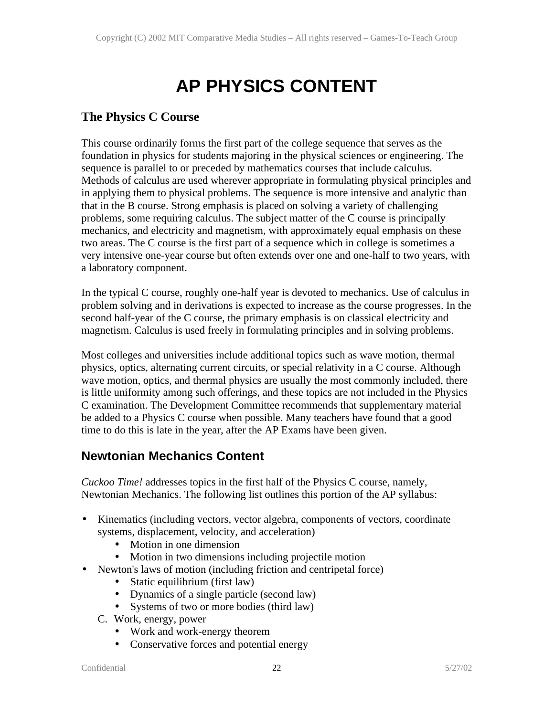## **AP PHYSICS CONTENT**

### **The Physics C Course**

This course ordinarily forms the first part of the college sequence that serves as the foundation in physics for students majoring in the physical sciences or engineering. The sequence is parallel to or preceded by mathematics courses that include calculus. Methods of calculus are used wherever appropriate in formulating physical principles and in applying them to physical problems. The sequence is more intensive and analytic than that in the B course. Strong emphasis is placed on solving a variety of challenging problems, some requiring calculus. The subject matter of the C course is principally mechanics, and electricity and magnetism, with approximately equal emphasis on these two areas. The C course is the first part of a sequence which in college is sometimes a very intensive one-year course but often extends over one and one-half to two years, with a laboratory component.

In the typical C course, roughly one-half year is devoted to mechanics. Use of calculus in problem solving and in derivations is expected to increase as the course progresses. In the second half-year of the C course, the primary emphasis is on classical electricity and magnetism. Calculus is used freely in formulating principles and in solving problems.

Most colleges and universities include additional topics such as wave motion, thermal physics, optics, alternating current circuits, or special relativity in a C course. Although wave motion, optics, and thermal physics are usually the most commonly included, there is little uniformity among such offerings, and these topics are not included in the Physics C examination. The Development Committee recommends that supplementary material be added to a Physics C course when possible. Many teachers have found that a good time to do this is late in the year, after the AP Exams have been given.

## **Newtonian Mechanics Content**

*Cuckoo Time!* addresses topics in the first half of the Physics C course, namely, Newtonian Mechanics. The following list outlines this portion of the AP syllabus:

- Kinematics (including vectors, vector algebra, components of vectors, coordinate systems, displacement, velocity, and acceleration)
	- Motion in one dimension
	- Motion in two dimensions including projectile motion
- Newton's laws of motion (including friction and centripetal force)
	- Static equilibrium (first law)
	- Dynamics of a single particle (second law)
	- Systems of two or more bodies (third law)
	- C. Work, energy, power
		- Work and work-energy theorem
		- Conservative forces and potential energy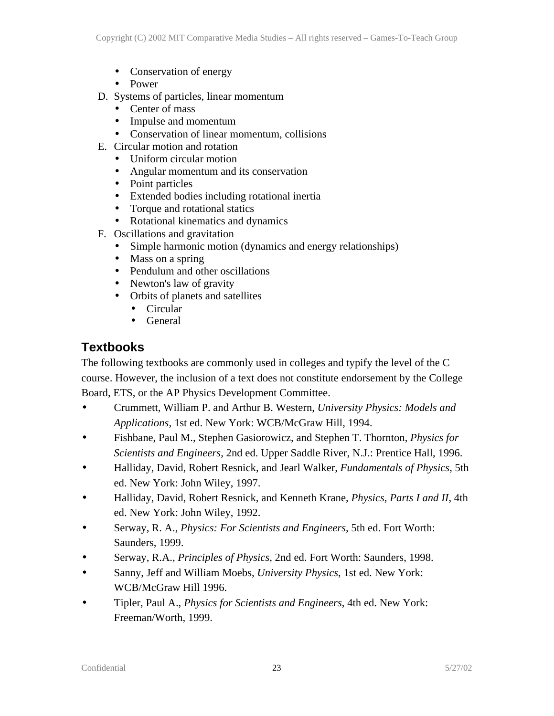- Conservation of energy
- Power
- D. Systems of particles, linear momentum
	- Center of mass
	- Impulse and momentum
	- Conservation of linear momentum, collisions
- E. Circular motion and rotation
	- Uniform circular motion
	- Angular momentum and its conservation
	- Point particles
	- Extended bodies including rotational inertia
	- Torque and rotational statics
	- Rotational kinematics and dynamics
- F. Oscillations and gravitation
	- Simple harmonic motion (dynamics and energy relationships)
	- Mass on a spring
	- Pendulum and other oscillations
	- Newton's law of gravity
	- Orbits of planets and satellites
		- Circular
		- General

## **Textbooks**

The following textbooks are commonly used in colleges and typify the level of the C course. However, the inclusion of a text does not constitute endorsement by the College Board, ETS, or the AP Physics Development Committee.

- Crummett, William P. and Arthur B. Western, *University Physics: Models and Applications*, 1st ed. New York: WCB/McGraw Hill, 1994.
- Fishbane, Paul M., Stephen Gasiorowicz, and Stephen T. Thornton, *Physics for Scientists and Engineers*, 2nd ed. Upper Saddle River, N.J.: Prentice Hall, 1996.
- Halliday, David, Robert Resnick, and Jearl Walker, *Fundamentals of Physics*, 5th ed. New York: John Wiley, 1997.
- Halliday, David, Robert Resnick, and Kenneth Krane, *Physics, Parts I and II*, 4th ed. New York: John Wiley, 1992.
- Serway, R. A., *Physics: For Scientists and Engineers*, 5th ed. Fort Worth: Saunders, 1999.
- Serway, R.A., *Principles of Physics*, 2nd ed. Fort Worth: Saunders, 1998.
- Sanny, Jeff and William Moebs, *University Physics*, 1st ed. New York: WCB/McGraw Hill 1996.
- Tipler, Paul A., *Physics for Scientists and Engineers*, 4th ed. New York: Freeman/Worth, 1999.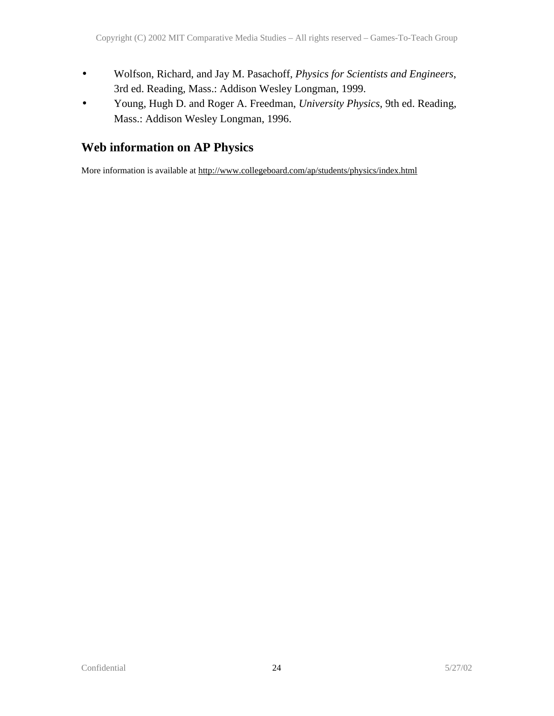- Wolfson, Richard, and Jay M. Pasachoff, *Physics for Scientists and Engineers*, 3rd ed. Reading, Mass.: Addison Wesley Longman, 1999.
- Young, Hugh D. and Roger A. Freedman, *University Physics*, 9th ed. Reading, Mass.: Addison Wesley Longman, 1996.

## **Web information on AP Physics**

More information is available at http://www.collegeboard.com/ap/students/physics/index.html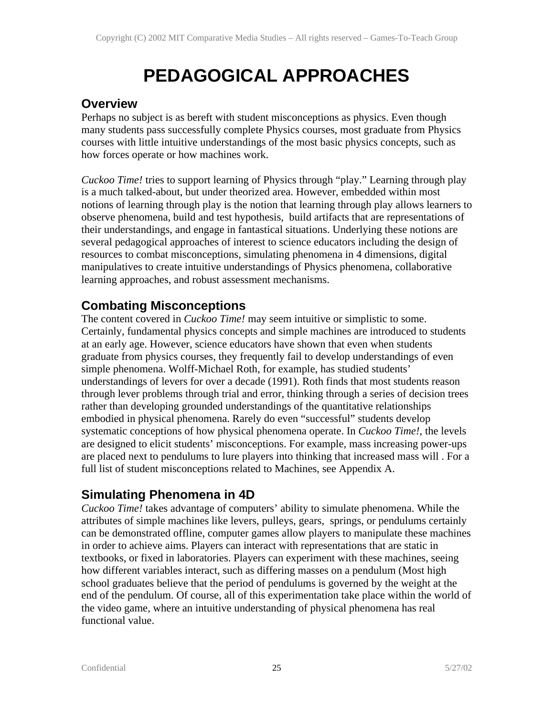## **PEDAGOGICAL APPROACHES**

### **Overview**

Perhaps no subject is as bereft with student misconceptions as physics. Even though many students pass successfully complete Physics courses, most graduate from Physics courses with little intuitive understandings of the most basic physics concepts, such as how forces operate or how machines work.

*Cuckoo Time!* tries to support learning of Physics through "play." Learning through play is a much talked-about, but under theorized area. However, embedded within most notions of learning through play is the notion that learning through play allows learners to observe phenomena, build and test hypothesis, build artifacts that are representations of their understandings, and engage in fantastical situations. Underlying these notions are several pedagogical approaches of interest to science educators including the design of resources to combat misconceptions, simulating phenomena in 4 dimensions, digital manipulatives to create intuitive understandings of Physics phenomena, collaborative learning approaches, and robust assessment mechanisms.

## **Combating Misconceptions**

The content covered in *Cuckoo Time!* may seem intuitive or simplistic to some. Certainly, fundamental physics concepts and simple machines are introduced to students at an early age. However, science educators have shown that even when students graduate from physics courses, they frequently fail to develop understandings of even simple phenomena. Wolff-Michael Roth, for example, has studied students' understandings of levers for over a decade (1991). Roth finds that most students reason through lever problems through trial and error, thinking through a series of decision trees rather than developing grounded understandings of the quantitative relationships embodied in physical phenomena. Rarely do even "successful" students develop systematic conceptions of how physical phenomena operate. In *Cuckoo Time!*, the levels are designed to elicit students' misconceptions. For example, mass increasing power-ups are placed next to pendulums to lure players into thinking that increased mass will . For a full list of student misconceptions related to Machines, see Appendix A.

## **Simulating Phenomena in 4D**

*Cuckoo Time!* takes advantage of computers' ability to simulate phenomena. While the attributes of simple machines like levers, pulleys, gears, springs, or pendulums certainly can be demonstrated offline, computer games allow players to manipulate these machines in order to achieve aims. Players can interact with representations that are static in textbooks, or fixed in laboratories. Players can experiment with these machines, seeing how different variables interact, such as differing masses on a pendulum (Most high school graduates believe that the period of pendulums is governed by the weight at the end of the pendulum. Of course, all of this experimentation take place within the world of the video game, where an intuitive understanding of physical phenomena has real functional value.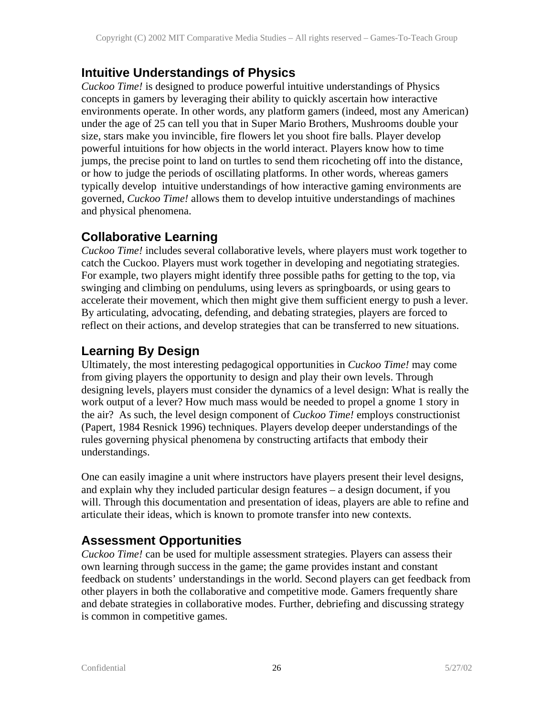## **Intuitive Understandings of Physics**

*Cuckoo Time!* is designed to produce powerful intuitive understandings of Physics concepts in gamers by leveraging their ability to quickly ascertain how interactive environments operate. In other words, any platform gamers (indeed, most any American) under the age of 25 can tell you that in Super Mario Brothers, Mushrooms double your size, stars make you invincible, fire flowers let you shoot fire balls. Player develop powerful intuitions for how objects in the world interact. Players know how to time jumps, the precise point to land on turtles to send them ricocheting off into the distance, or how to judge the periods of oscillating platforms. In other words, whereas gamers typically develop intuitive understandings of how interactive gaming environments are governed, *Cuckoo Time!* allows them to develop intuitive understandings of machines and physical phenomena.

## **Collaborative Learning**

*Cuckoo Time!* includes several collaborative levels, where players must work together to catch the Cuckoo. Players must work together in developing and negotiating strategies. For example, two players might identify three possible paths for getting to the top, via swinging and climbing on pendulums, using levers as springboards, or using gears to accelerate their movement, which then might give them sufficient energy to push a lever. By articulating, advocating, defending, and debating strategies, players are forced to reflect on their actions, and develop strategies that can be transferred to new situations.

## **Learning By Design**

Ultimately, the most interesting pedagogical opportunities in *Cuckoo Time!* may come from giving players the opportunity to design and play their own levels. Through designing levels, players must consider the dynamics of a level design: What is really the work output of a lever? How much mass would be needed to propel a gnome 1 story in the air? As such, the level design component of *Cuckoo Time!* employs constructionist (Papert, 1984 Resnick 1996) techniques. Players develop deeper understandings of the rules governing physical phenomena by constructing artifacts that embody their understandings.

One can easily imagine a unit where instructors have players present their level designs, and explain why they included particular design features – a design document, if you will. Through this documentation and presentation of ideas, players are able to refine and articulate their ideas, which is known to promote transfer into new contexts.

## **Assessment Opportunities**

*Cuckoo Time!* can be used for multiple assessment strategies. Players can assess their own learning through success in the game; the game provides instant and constant feedback on students' understandings in the world. Second players can get feedback from other players in both the collaborative and competitive mode. Gamers frequently share and debate strategies in collaborative modes. Further, debriefing and discussing strategy is common in competitive games.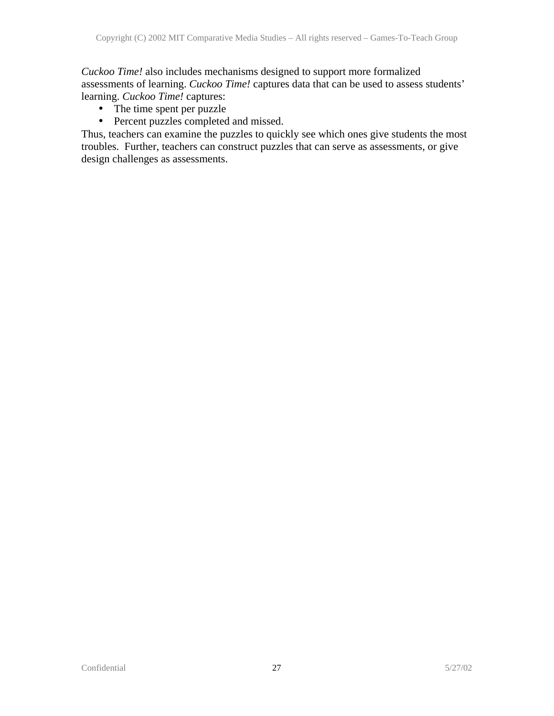*Cuckoo Time!* also includes mechanisms designed to support more formalized assessments of learning. *Cuckoo Time!* captures data that can be used to assess students' learning. *Cuckoo Time!* captures:

- The time spent per puzzle
- Percent puzzles completed and missed.

Thus, teachers can examine the puzzles to quickly see which ones give students the most troubles. Further, teachers can construct puzzles that can serve as assessments, or give design challenges as assessments.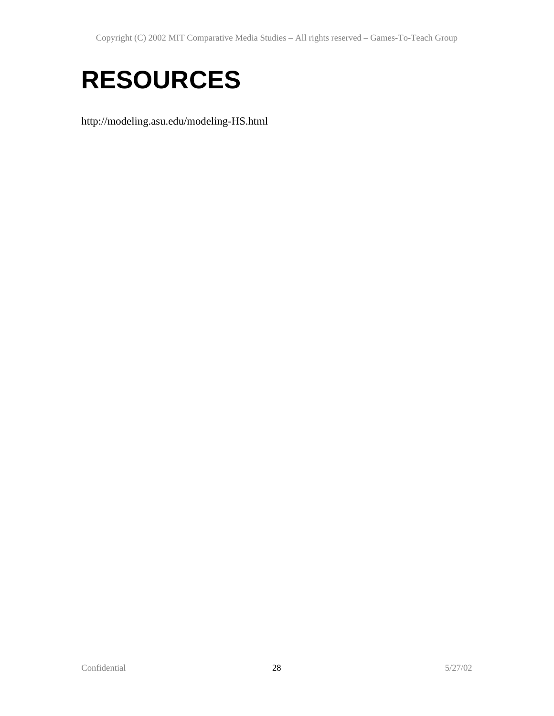# **RESOURCES**

http://modeling.asu.edu/modeling-HS.html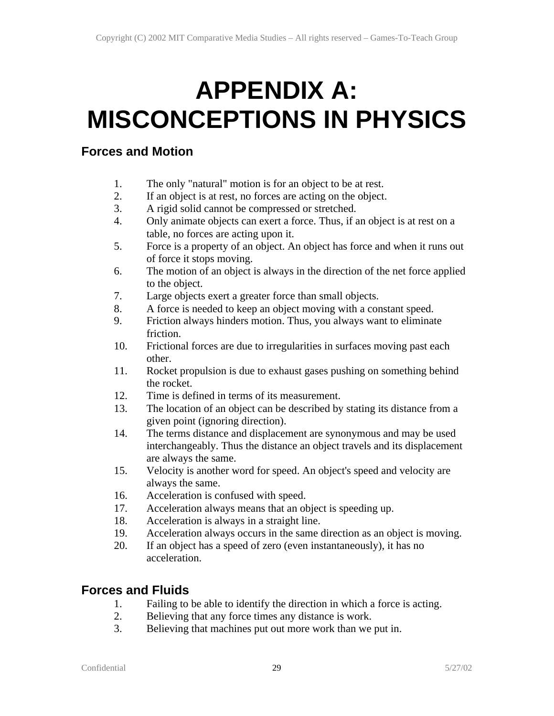# **APPENDIX A: MISCONCEPTIONS IN PHYSICS**

### **Forces and Motion**

- 1. The only "natural" motion is for an object to be at rest.
- 2. If an object is at rest, no forces are acting on the object.
- 3. A rigid solid cannot be compressed or stretched.
- 4. Only animate objects can exert a force. Thus, if an object is at rest on a table, no forces are acting upon it.
- 5. Force is a property of an object. An object has force and when it runs out of force it stops moving.
- 6. The motion of an object is always in the direction of the net force applied to the object.
- 7. Large objects exert a greater force than small objects.
- 8. A force is needed to keep an object moving with a constant speed.
- 9. Friction always hinders motion. Thus, you always want to eliminate friction.
- 10. Frictional forces are due to irregularities in surfaces moving past each other.
- 11. Rocket propulsion is due to exhaust gases pushing on something behind the rocket.
- 12. Time is defined in terms of its measurement.
- 13. The location of an object can be described by stating its distance from a given point (ignoring direction).
- 14. The terms distance and displacement are synonymous and may be used interchangeably. Thus the distance an object travels and its displacement are always the same.
- 15. Velocity is another word for speed. An object's speed and velocity are always the same.
- 16. Acceleration is confused with speed.
- 17. Acceleration always means that an object is speeding up.
- 18. Acceleration is always in a straight line.
- 19. Acceleration always occurs in the same direction as an object is moving.
- 20. If an object has a speed of zero (even instantaneously), it has no acceleration.

## **Forces and Fluids**

- 1. Failing to be able to identify the direction in which a force is acting.
- 2. Believing that any force times any distance is work.
- 3. Believing that machines put out more work than we put in.